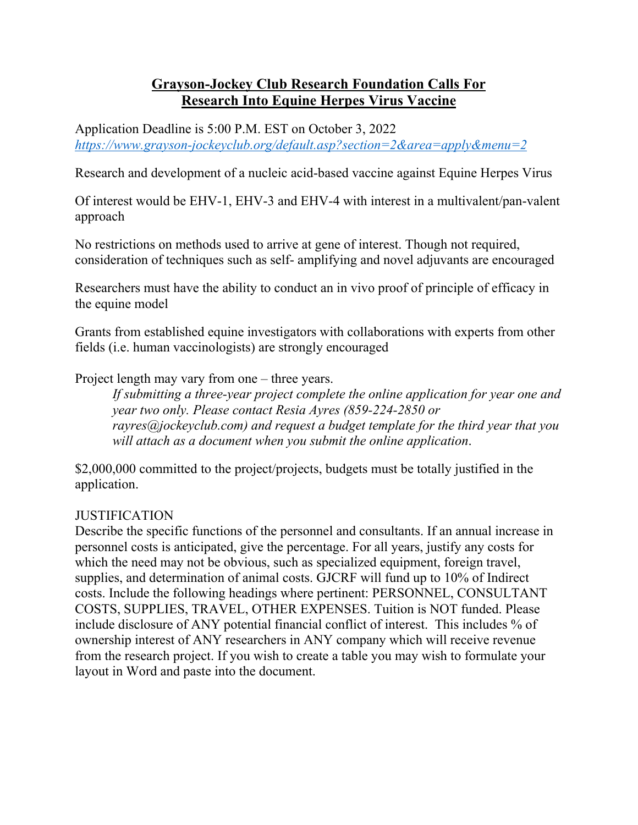## **Grayson-Jockey Club Research Foundation Calls For Research Into Equine Herpes Virus Vaccine**

Application Deadline is 5:00 P.M. EST on October 3, 2022 *https://www.grayson-jockeyclub.org/default.asp?section=2&area=apply&menu=2*

Research and development of a nucleic acid-based vaccine against Equine Herpes Virus

Of interest would be EHV-1, EHV-3 and EHV-4 with interest in a multivalent/pan-valent approach

No restrictions on methods used to arrive at gene of interest. Though not required, consideration of techniques such as self- amplifying and novel adjuvants are encouraged

Researchers must have the ability to conduct an in vivo proof of principle of efficacy in the equine model

Grants from established equine investigators with collaborations with experts from other fields (i.e. human vaccinologists) are strongly encouraged

Project length may vary from one – three years.

*If submitting a three-year project complete the online application for year one and year two only. Please contact Resia Ayres (859-224-2850 or rayres@jockeyclub.com) and request a budget template for the third year that you will attach as a document when you submit the online application*.

\$2,000,000 committed to the project/projects, budgets must be totally justified in the application.

## **JUSTIFICATION**

Describe the specific functions of the personnel and consultants. If an annual increase in personnel costs is anticipated, give the percentage. For all years, justify any costs for which the need may not be obvious, such as specialized equipment, foreign travel, supplies, and determination of animal costs. GJCRF will fund up to 10% of Indirect costs. Include the following headings where pertinent: PERSONNEL, CONSULTANT COSTS, SUPPLIES, TRAVEL, OTHER EXPENSES. Tuition is NOT funded. Please include disclosure of ANY potential financial conflict of interest. This includes % of ownership interest of ANY researchers in ANY company which will receive revenue from the research project. If you wish to create a table you may wish to formulate your layout in Word and paste into the document.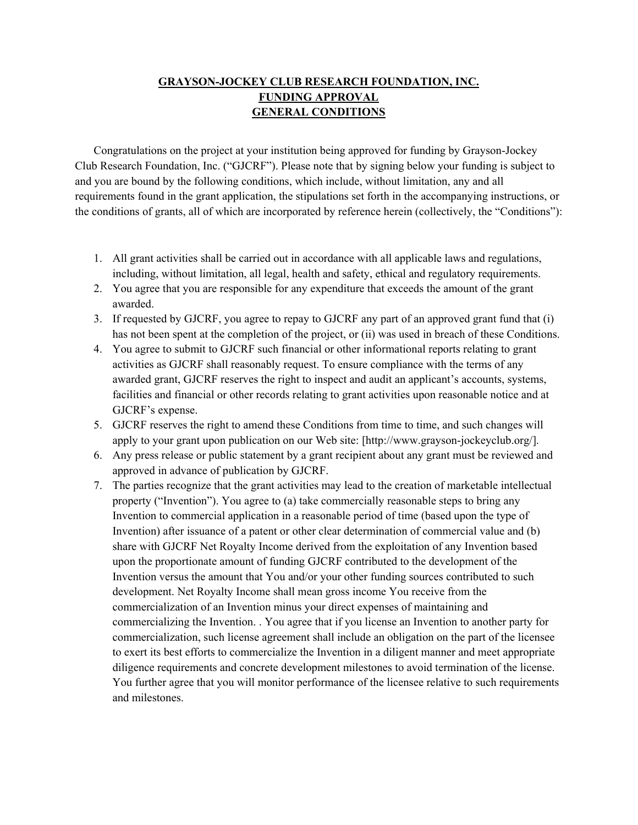## **GRAYSON-JOCKEY CLUB RESEARCH FOUNDATION, INC. FUNDING APPROVAL GENERAL CONDITIONS**

Congratulations on the project at your institution being approved for funding by Grayson-Jockey Club Research Foundation, Inc. ("GJCRF"). Please note that by signing below your funding is subject to and you are bound by the following conditions, which include, without limitation, any and all requirements found in the grant application, the stipulations set forth in the accompanying instructions, or the conditions of grants, all of which are incorporated by reference herein (collectively, the "Conditions"):

- 1. All grant activities shall be carried out in accordance with all applicable laws and regulations, including, without limitation, all legal, health and safety, ethical and regulatory requirements.
- 2. You agree that you are responsible for any expenditure that exceeds the amount of the grant awarded.
- 3. If requested by GJCRF, you agree to repay to GJCRF any part of an approved grant fund that (i) has not been spent at the completion of the project, or (ii) was used in breach of these Conditions.
- 4. You agree to submit to GJCRF such financial or other informational reports relating to grant activities as GJCRF shall reasonably request. To ensure compliance with the terms of any awarded grant, GJCRF reserves the right to inspect and audit an applicant's accounts, systems, facilities and financial or other records relating to grant activities upon reasonable notice and at GJCRF's expense.
- 5. GJCRF reserves the right to amend these Conditions from time to time, and such changes will apply to your grant upon publication on our Web site: [http://www.grayson-jockeyclub.org/].
- 6. Any press release or public statement by a grant recipient about any grant must be reviewed and approved in advance of publication by GJCRF.
- 7. The parties recognize that the grant activities may lead to the creation of marketable intellectual property ("Invention"). You agree to (a) take commercially reasonable steps to bring any Invention to commercial application in a reasonable period of time (based upon the type of Invention) after issuance of a patent or other clear determination of commercial value and (b) share with GJCRF Net Royalty Income derived from the exploitation of any Invention based upon the proportionate amount of funding GJCRF contributed to the development of the Invention versus the amount that You and/or your other funding sources contributed to such development. Net Royalty Income shall mean gross income You receive from the commercialization of an Invention minus your direct expenses of maintaining and commercializing the Invention. . You agree that if you license an Invention to another party for commercialization, such license agreement shall include an obligation on the part of the licensee to exert its best efforts to commercialize the Invention in a diligent manner and meet appropriate diligence requirements and concrete development milestones to avoid termination of the license. You further agree that you will monitor performance of the licensee relative to such requirements and milestones.